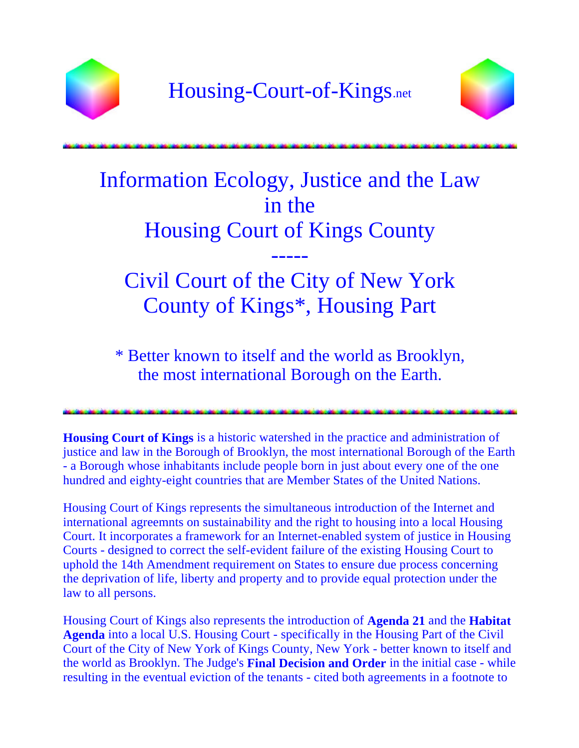



## Information Ecology, Justice and the Law in the Housing Court of Kings County -----

Civil Court of the City of New York County of Kings\*, Housing Part

\* Better known to itself and the world as Brooklyn, the most international Borough on the Earth.

**Housing Court of Kings** is a historic watershed in the practice and administration of justice and law in the Borough of Brooklyn, the most international Borough of the Earth - a Borough whose inhabitants include people born in just about every one of the one hundred and eighty-eight countries that are Member States of the United Nations.

Housing Court of Kings represents the simultaneous introduction of the Internet and international agreemnts on sustainability and the right to housing into a local Housing Court. It incorporates a framework for an Internet-enabled system of justice in Housing Courts - designed to correct the self-evident failure of the existing Housing Court to uphold the 14th Amendment requirement on States to ensure due process concerning the deprivation of life, liberty and property and to provide equal protection under the law to all persons.

Housing Court of Kings also represents the introduction of **Agenda 21** and the **Habitat Agenda** into a local U.S. Housing Court - specifically in the Housing Part of the Civil Court of the City of New York of Kings County, New York - better known to itself and the world as Brooklyn. The Judge's **Final Decision and Order** in the initial case - while resulting in the eventual eviction of the tenants - cited both agreements in a footnote to